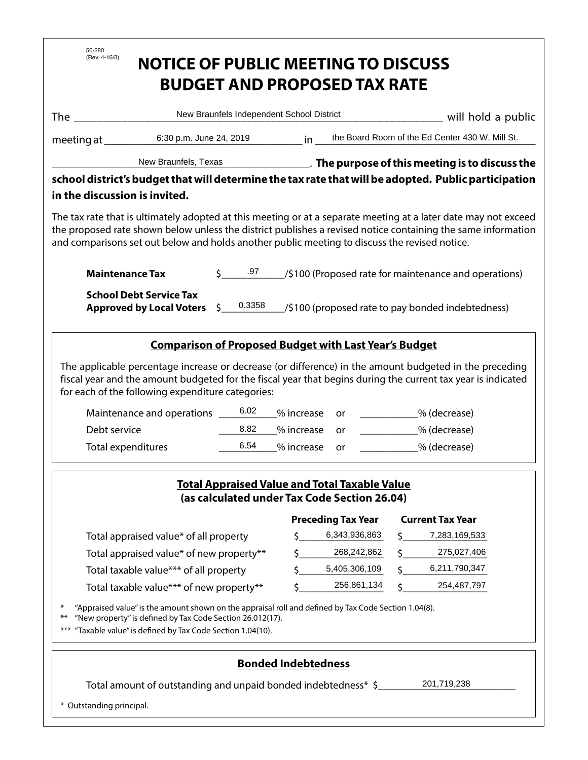| 50-280<br>(Rev. 4-16/3)                                                                                                                                                                                                                                                                                                          | <b>NOTICE OF PUBLIC MEETING TO DISCUSS</b>                                                                                                                                                      |                                           |                                        | <b>BUDGET AND PROPOSED TAX RATE</b> |             |                                                           |  |  |
|----------------------------------------------------------------------------------------------------------------------------------------------------------------------------------------------------------------------------------------------------------------------------------------------------------------------------------|-------------------------------------------------------------------------------------------------------------------------------------------------------------------------------------------------|-------------------------------------------|----------------------------------------|-------------------------------------|-------------|-----------------------------------------------------------|--|--|
| <b>The</b>                                                                                                                                                                                                                                                                                                                       |                                                                                                                                                                                                 | New Braunfels Independent School District |                                        |                                     |             | will hold a public                                        |  |  |
|                                                                                                                                                                                                                                                                                                                                  | 6:30 p.m. June 24, 2019                                                                                                                                                                         |                                           | in                                     |                                     |             | the Board Room of the Ed Center 430 W. Mill St.           |  |  |
| meeting at _                                                                                                                                                                                                                                                                                                                     |                                                                                                                                                                                                 |                                           |                                        |                                     |             |                                                           |  |  |
| New Braunfels, Texas                                                                                                                                                                                                                                                                                                             |                                                                                                                                                                                                 |                                           |                                        |                                     |             |                                                           |  |  |
| school district's budget that will determine the tax rate that will be adopted. Public participation<br>in the discussion is invited.                                                                                                                                                                                            |                                                                                                                                                                                                 |                                           |                                        |                                     |             |                                                           |  |  |
| The tax rate that is ultimately adopted at this meeting or at a separate meeting at a later date may not exceed<br>the proposed rate shown below unless the district publishes a revised notice containing the same information<br>and comparisons set out below and holds another public meeting to discuss the revised notice. |                                                                                                                                                                                                 |                                           |                                        |                                     |             |                                                           |  |  |
|                                                                                                                                                                                                                                                                                                                                  | $5 \t 0.97$<br>/\$100 (Proposed rate for maintenance and operations)<br><b>Maintenance Tax</b>                                                                                                  |                                           |                                        |                                     |             |                                                           |  |  |
| <b>School Debt Service Tax</b><br>0.3358<br><b>Approved by Local Voters</b><br>\$.<br>/\$100 (proposed rate to pay bonded indebtedness)                                                                                                                                                                                          |                                                                                                                                                                                                 |                                           |                                        |                                     |             |                                                           |  |  |
|                                                                                                                                                                                                                                                                                                                                  | <b>Comparison of Proposed Budget with Last Year's Budget</b>                                                                                                                                    |                                           |                                        |                                     |             |                                                           |  |  |
| Debt service<br><b>Total expenditures</b>                                                                                                                                                                                                                                                                                        | fiscal year and the amount budgeted for the fiscal year that begins during the current tax year is indicated<br>for each of the following expenditure categories:<br>Maintenance and operations | 6.02<br>8.82<br>6.54                      | % increase<br>% increase<br>% increase | or<br>or<br>or                      |             | <sup>9</sup> % (decrease)<br>% (decrease)<br>% (decrease) |  |  |
| <b>Total Appraised Value and Total Taxable Value</b><br>(as calculated under Tax Code Section 26.04)                                                                                                                                                                                                                             |                                                                                                                                                                                                 |                                           |                                        |                                     |             |                                                           |  |  |
|                                                                                                                                                                                                                                                                                                                                  |                                                                                                                                                                                                 |                                           |                                        | <b>Preceding Tax Year</b>           |             | <b>Current Tax Year</b>                                   |  |  |
|                                                                                                                                                                                                                                                                                                                                  | Total appraised value* of all property                                                                                                                                                          |                                           | Ś                                      | 6,343,936,863<br>268,242,862        |             | 7,283,169,533<br>275,027,406                              |  |  |
|                                                                                                                                                                                                                                                                                                                                  | Total appraised value* of new property**                                                                                                                                                        |                                           |                                        | 5,405,306,109                       |             | 6,211,790,347                                             |  |  |
| Total taxable value*** of all property<br>Total taxable value*** of new property**                                                                                                                                                                                                                                               |                                                                                                                                                                                                 | \$                                        | 256,861,134                            |                                     | 254,487,797 |                                                           |  |  |
| "Appraised value" is the amount shown on the appraisal roll and defined by Tax Code Section 1.04(8).<br>"New property" is defined by Tax Code Section 26.012(17).<br>"Taxable value" is defined by Tax Code Section 1.04(10).<br>$***$                                                                                           |                                                                                                                                                                                                 |                                           |                                        |                                     |             |                                                           |  |  |
| <b>Bonded Indebtedness</b><br>201,719,238<br>Total amount of outstanding and unpaid bonded indebtedness* \$<br>* Outstanding principal.                                                                                                                                                                                          |                                                                                                                                                                                                 |                                           |                                        |                                     |             |                                                           |  |  |